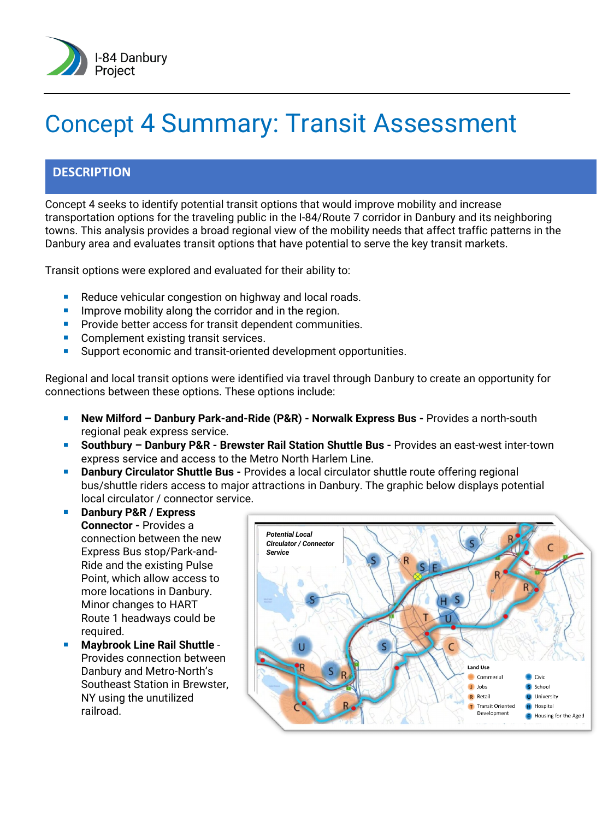

# Concept 4 Summary: Transit Assessment

### **DESCRIPTION**

Concept 4 seeks to identify potential transit options that would improve mobility and increase transportation options for the traveling public in the I-84/Route 7 corridor in Danbury and its neighboring towns. This analysis provides a broad regional view of the mobility needs that affect traffic patterns in the Danbury area and evaluates transit options that have potential to serve the key transit markets.

Transit options were explored and evaluated for their ability to:

- Reduce vehicular congestion on highway and local roads.
- **IMPROVE MODILITY ALONG THE COLLEGE COLLEGE THE THE TH** IMPROVEMBLE **I**
- **Provide better access for transit dependent communities.**
- Complement existing transit services.
- **Support economic and transit-oriented development opportunities.**

Regional and local transit options were identified via travel through Danbury to create an opportunity for connections between these options. These options include:

- **New Milford – Danbury Park-and-Ride (P&R) - Norwalk Express Bus -** Provides a north-south regional peak express service.
- **Southbury – Danbury P&R - Brewster Rail Station Shuttle Bus -** Provides an east-west inter-town express service and access to the Metro North Harlem Line.
- **Danbury Circulator Shuttle Bus** Provides a local circulator shuttle route offering regional bus/shuttle riders access to major attractions in Danbury. The graphic below displays potential local circulator / connector service.
- **Danbury P&R / Express Connector -** Provides a connection between the new Express Bus stop/Park-and-Ride and the existing Pulse Point, which allow access to more locations in Danbury. Minor changes to HART Route 1 headways could be required.
- **Maybrook Line Rail Shuttle** Provides connection between Danbury and Metro-North's Southeast Station in Brewster, NY using the unutilized railroad.